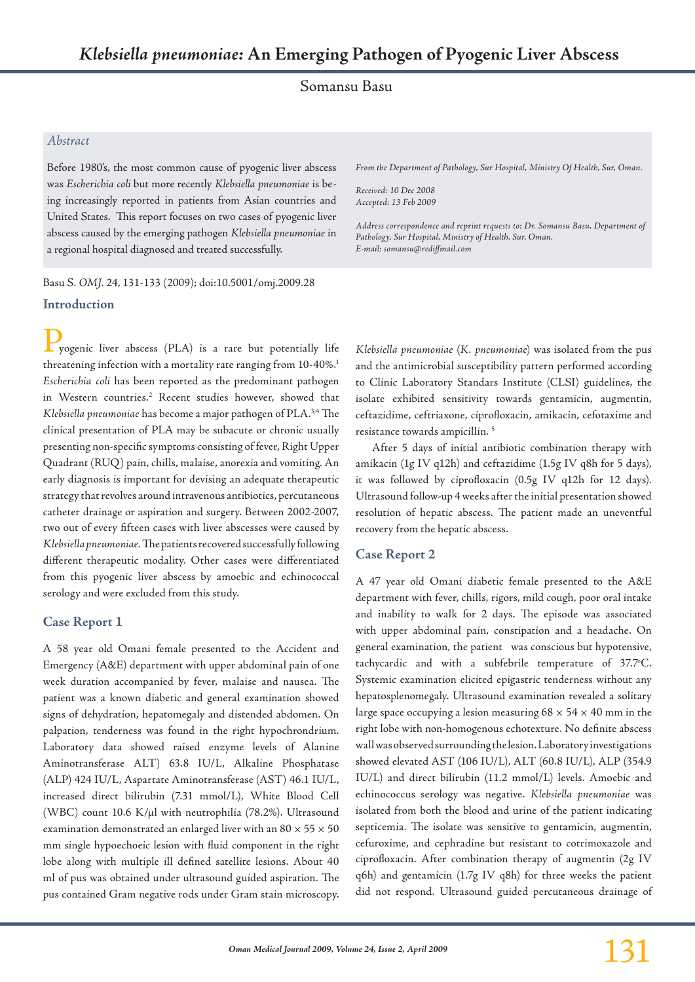Somansu Basu

#### *Abstract*

Before 1980's, the most common cause of pyogenic liver abscess was *Escherichia coli* but more recently *Klebsiella pneumoniae* is being increasingly reported in patients from Asian countries and United States. This report focuses on two cases of pyogenic liver abscess caused by the emerging pathogen *Klebsiella pneumoniae* in a regional hospital diagnosed and treated successfully.

**Introduction** Basu S. *OMJ.* 24, 131-133 (2009); doi:10.5001/omj.2009.28 *From the Department of Pathology, Sur Hospital, Ministry Of Health, Sur, Oman.*

*Received: 10 Dec 2008 Accepted: 13 Feb 2009*

*Address correspondence and reprint requests to: Dr. Somansu Basu, Department of Pathology, Sur Hospital, Ministry of Health, Sur, Oman. E-mail: somansu@rediffmail.com*

Pyogenic liver abscess (PLA) is a rare but potentially life threatening infection with a mortality rate ranging from 10-40%.<sup>1</sup> *Escherichia coli* has been reported as the predominant pathogen in Western countries.<sup>2</sup> Recent studies however, showed that *Klebsiella pneumoniae* has become a major pathogen of PLA.3,4 The clinical presentation of PLA may be subacute or chronic usually presenting non-specific symptoms consisting of fever, Right Upper Quadrant (RUQ) pain, chills, malaise, anorexia and vomiting. An early diagnosis is important for devising an adequate therapeutic strategy that revolves around intravenous antibiotics, percutaneous catheter drainage or aspiration and surgery. Between 2002-2007, two out of every fifteen cases with liver abscesses were caused by *Klebsiella pneumoniae.* The patients recovered successfully following different therapeutic modality. Other cases were differentiated from this pyogenic liver abscess by amoebic and echinococcal serology and were excluded from this study.

## **Case Report 1**

A 58 year old Omani female presented to the Accident and Emergency (A&E) department with upper abdominal pain of one week duration accompanied by fever, malaise and nausea. The patient was a known diabetic and general examination showed signs of dehydration, hepatomegaly and distended abdomen. On palpation, tenderness was found in the right hypochrondrium. Laboratory data showed raised enzyme levels of Alanine Aminotransferase ALT) 63.8 IU/L, Alkaline Phosphatase (ALP) 424 IU/L, Aspartate Aminotransferase (AST) 46.1 IU/L, increased direct bilirubin (7.31 mmol/L), White Blood Cell (WBC) count 10.6 K/µl with neutrophilia (78.2%). Ultrasound examination demonstrated an enlarged liver with an 80  $\times$  55  $\times$  50 mm single hypoechoeic lesion with fluid component in the right lobe along with multiple ill defined satellite lesions. About 40 ml of pus was obtained under ultrasound guided aspiration. The pus contained Gram negative rods under Gram stain microscopy. *Klebsiella pneumoniae* (*K. pneumoniae*) was isolated from the pus and the antimicrobial susceptibility pattern performed according to Clinic Laboratory Standars Institute (CLSI) guidelines, the isolate exhibited sensitivity towards gentamicin, augmentin, ceftazidime, ceftriaxone, ciprofloxacin, amikacin, cefotaxime and resistance towards ampicillin. 5

After 5 days of initial antibiotic combination therapy with amikacin (1g IV q12h) and ceftazidime (1.5g IV q8h for 5 days), it was followed by ciprofloxacin (0.5g IV q12h for 12 days). Ultrasound follow-up 4 weeks after the initial presentation showed resolution of hepatic abscess. The patient made an uneventful recovery from the hepatic abscess.

## **Case Report 2**

A 47 year old Omani diabetic female presented to the A&E department with fever, chills, rigors, mild cough, poor oral intake and inability to walk for 2 days. The episode was associated with upper abdominal pain, constipation and a headache. On general examination, the patient was conscious but hypotensive, tachycardic and with a subfebrile temperature of 37.7°C. Systemic examination elicited epigastric tenderness without any hepatosplenomegaly. Ultrasound examination revealed a solitary large space occupying a lesion measuring  $68 \times 54 \times 40$  mm in the right lobe with non-homogenous echotexture. No definite abscess wall was observed surrounding the lesion. Laboratory investigations showed elevated AST (106 IU/L), ALT (60.8 IU/L), ALP (354.9 IU/L) and direct bilirubin (11.2 mmol/L) levels. Amoebic and echinococcus serology was negative. *Klebsiella pneumoniae* was isolated from both the blood and urine of the patient indicating septicemia. The isolate was sensitive to gentamicin, augmentin, cefuroxime, and cephradine but resistant to cotrimoxazole and ciprofloxacin. After combination therapy of augmentin (2g IV q6h) and gentamicin (1.7g IV q8h) for three weeks the patient did not respond. Ultrasound guided percutaneous drainage of